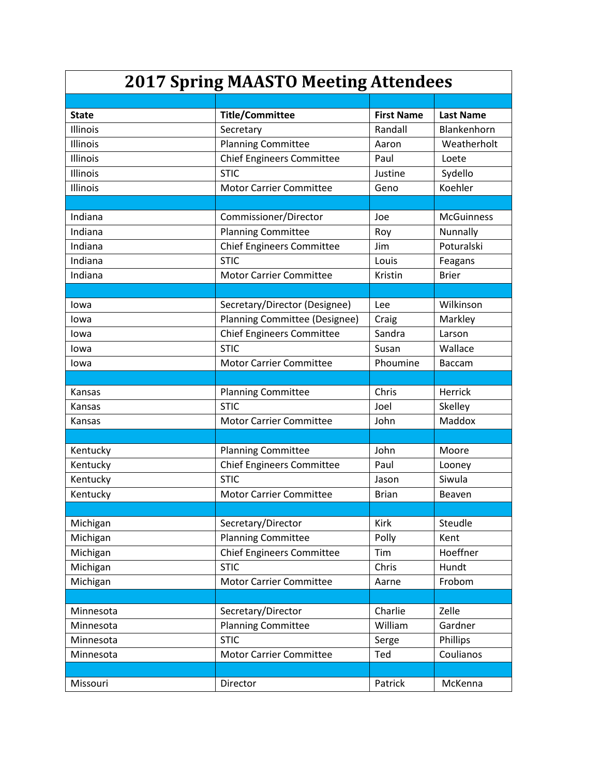| <b>2017 Spring MAASTO Meeting Attendees</b> |                                  |                   |                   |  |
|---------------------------------------------|----------------------------------|-------------------|-------------------|--|
|                                             |                                  |                   |                   |  |
| <b>State</b>                                | <b>Title/Committee</b>           | <b>First Name</b> | <b>Last Name</b>  |  |
| Illinois                                    | Secretary                        | Randall           | Blankenhorn       |  |
| Illinois                                    | <b>Planning Committee</b>        | Aaron             | Weatherholt       |  |
| <b>Illinois</b>                             | <b>Chief Engineers Committee</b> | Paul              | Loete             |  |
| <b>Illinois</b>                             | <b>STIC</b>                      | Justine           | Sydello           |  |
| Illinois                                    | <b>Motor Carrier Committee</b>   | Geno              | Koehler           |  |
|                                             |                                  |                   |                   |  |
| Indiana                                     | Commissioner/Director            | Joe               | <b>McGuinness</b> |  |
| Indiana                                     | <b>Planning Committee</b>        | Roy               | Nunnally          |  |
| Indiana                                     | <b>Chief Engineers Committee</b> | Jim               | Poturalski        |  |
| Indiana                                     | <b>STIC</b>                      | Louis             | Feagans           |  |
| Indiana                                     | <b>Motor Carrier Committee</b>   | Kristin           | <b>Brier</b>      |  |
|                                             |                                  |                   |                   |  |
| lowa                                        | Secretary/Director (Designee)    | Lee               | Wilkinson         |  |
| Iowa                                        | Planning Committee (Designee)    | Craig             | Markley           |  |
| Iowa                                        | <b>Chief Engineers Committee</b> | Sandra            | Larson            |  |
| Iowa                                        | <b>STIC</b>                      | Susan             | Wallace           |  |
| lowa                                        | <b>Motor Carrier Committee</b>   | Phoumine          | <b>Baccam</b>     |  |
|                                             |                                  |                   |                   |  |
| Kansas                                      | <b>Planning Committee</b>        | Chris             | Herrick           |  |
| Kansas                                      | <b>STIC</b>                      | Joel              | Skelley           |  |
| Kansas                                      | <b>Motor Carrier Committee</b>   | John              | Maddox            |  |
|                                             |                                  |                   |                   |  |
| Kentucky                                    | <b>Planning Committee</b>        | John              | Moore             |  |
| Kentucky                                    | <b>Chief Engineers Committee</b> | Paul              | Looney            |  |
| Kentucky                                    | <b>STIC</b>                      | Jason             | Siwula            |  |
| Kentucky                                    | <b>Motor Carrier Committee</b>   | <b>Brian</b>      | Beaven            |  |
|                                             |                                  |                   |                   |  |
| Michigan                                    | Secretary/Director               | <b>Kirk</b>       | Steudle           |  |
| Michigan                                    | <b>Planning Committee</b>        | Polly             | Kent              |  |
| Michigan                                    | <b>Chief Engineers Committee</b> | Tim               | Hoeffner          |  |
| Michigan                                    | <b>STIC</b>                      | Chris             | Hundt             |  |
| Michigan                                    | <b>Motor Carrier Committee</b>   | Aarne             | Frobom            |  |
|                                             |                                  |                   |                   |  |
| Minnesota                                   | Secretary/Director               | Charlie           | Zelle             |  |
| Minnesota                                   | <b>Planning Committee</b>        | William           | Gardner           |  |
| Minnesota                                   | <b>STIC</b>                      | Serge             | Phillips          |  |
| Minnesota                                   | <b>Motor Carrier Committee</b>   | Ted               | Coulianos         |  |
|                                             |                                  |                   |                   |  |
| Missouri                                    | Director                         | Patrick           | McKenna           |  |